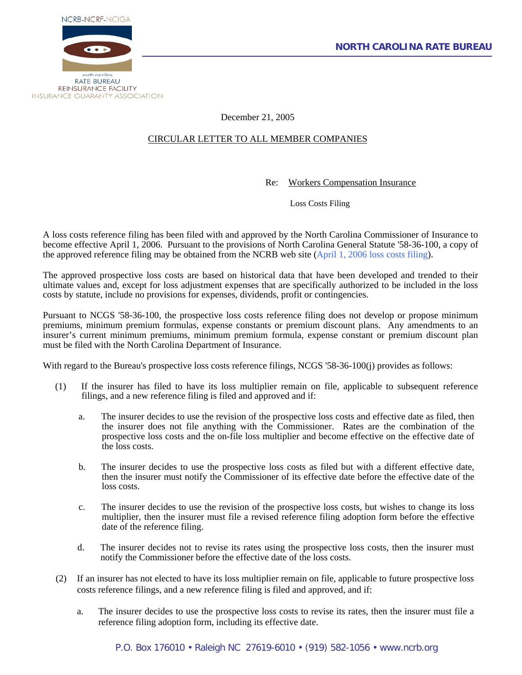



December 21, 2005

## CIRCULAR LETTER TO ALL MEMBER COMPANIES

Re: Workers Compensation Insurance

Loss Costs Filing

A loss costs reference filing has been filed with and approved by the North Carolina Commissioner of Insurance to become effective April 1, 2006. Pursuant to the provisions of North Carolina General Statute '58-36-100, a copy of the approved reference filing may be obtained from the NCRB web site ([April 1, 2006 loss costs filing\)](http://www.ncrb.org/ncrb/workers%20comp%20services/loss%20costs%20&%20assigned%20risk%20rates/loss%20costs%20and%20assigned%20risk%20rates.htm).

The approved prospective loss costs are based on historical data that have been developed and trended to their ultimate values and, except for loss adjustment expenses that are specifically authorized to be included in the loss costs by statute, include no provisions for expenses, dividends, profit or contingencies.

Pursuant to NCGS '58-36-100, the prospective loss costs reference filing does not develop or propose minimum premiums, minimum premium formulas, expense constants or premium discount plans. Any amendments to an insurer's current minimum premiums, minimum premium formula, expense constant or premium discount plan must be filed with the North Carolina Department of Insurance.

With regard to the Bureau's prospective loss costs reference filings, NCGS '58-36-100(j) provides as follows:

- (1) If the insurer has filed to have its loss multiplier remain on file, applicable to subsequent reference filings, and a new reference filing is filed and approved and if:
	- a. The insurer decides to use the revision of the prospective loss costs and effective date as filed, then the insurer does not file anything with the Commissioner. Rates are the combination of the prospective loss costs and the on-file loss multiplier and become effective on the effective date of the loss costs.
	- b. The insurer decides to use the prospective loss costs as filed but with a different effective date, then the insurer must notify the Commissioner of its effective date before the effective date of the loss costs.
	- c. The insurer decides to use the revision of the prospective loss costs, but wishes to change its loss multiplier, then the insurer must file a revised reference filing adoption form before the effective date of the reference filing.
	- d. The insurer decides not to revise its rates using the prospective loss costs, then the insurer must notify the Commissioner before the effective date of the loss costs.
- (2) If an insurer has not elected to have its loss multiplier remain on file, applicable to future prospective loss costs reference filings, and a new reference filing is filed and approved, and if:
	- a. The insurer decides to use the prospective loss costs to revise its rates, then the insurer must file a reference filing adoption form, including its effective date.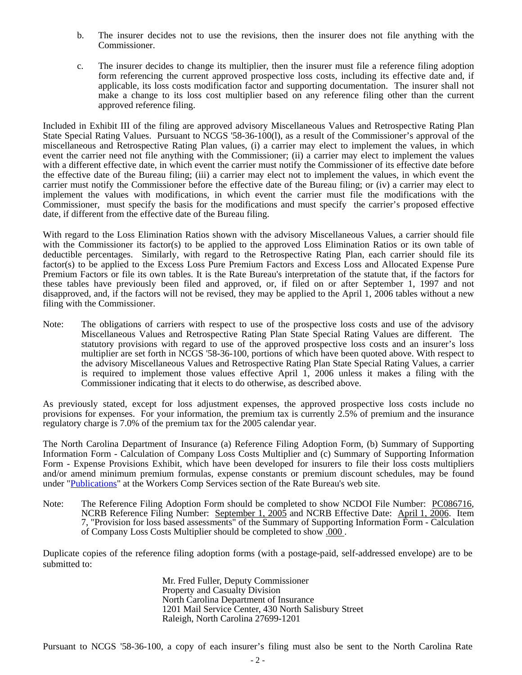- b. The insurer decides not to use the revisions, then the insurer does not file anything with the Commissioner.
- c. The insurer decides to change its multiplier, then the insurer must file a reference filing adoption form referencing the current approved prospective loss costs, including its effective date and, if applicable, its loss costs modification factor and supporting documentation. The insurer shall not make a change to its loss cost multiplier based on any reference filing other than the current approved reference filing.

Included in Exhibit III of the filing are approved advisory Miscellaneous Values and Retrospective Rating Plan State Special Rating Values. Pursuant to NCGS '58-36-100(l), as a result of the Commissioner's approval of the miscellaneous and Retrospective Rating Plan values, (i) a carrier may elect to implement the values, in which event the carrier need not file anything with the Commissioner; (ii) a carrier may elect to implement the values with a different effective date, in which event the carrier must notify the Commissioner of its effective date before the effective date of the Bureau filing; (iii) a carrier may elect not to implement the values, in which event the carrier must notify the Commissioner before the effective date of the Bureau filing; or (iv) a carrier may elect to implement the values with modifications, in which event the carrier must file the modifications with the Commissioner, must specify the basis for the modifications and must specify the carrier's proposed effective date, if different from the effective date of the Bureau filing.

With regard to the Loss Elimination Ratios shown with the advisory Miscellaneous Values, a carrier should file with the Commissioner its factor(s) to be applied to the approved Loss Elimination Ratios or its own table of deductible percentages. Similarly, with regard to the Retrospective Rating Plan, each carrier should file its factor(s) to be applied to the Excess Loss Pure Premium Factors and Excess Loss and Allocated Expense Pure Premium Factors or file its own tables. It is the Rate Bureau's interpretation of the statute that, if the factors for these tables have previously been filed and approved, or, if filed on or after September 1, 1997 and not disapproved, and, if the factors will not be revised, they may be applied to the April 1, 2006 tables without a new filing with the Commissioner.

Note: The obligations of carriers with respect to use of the prospective loss costs and use of the advisory Miscellaneous Values and Retrospective Rating Plan State Special Rating Values are different. The statutory provisions with regard to use of the approved prospective loss costs and an insurer's loss multiplier are set forth in NCGS '58-36-100, portions of which have been quoted above. With respect to the advisory Miscellaneous Values and Retrospective Rating Plan State Special Rating Values, a carrier is required to implement those values effective April 1, 2006 unless it makes a filing with the Commissioner indicating that it elects to do otherwise, as described above.

As previously stated, except for loss adjustment expenses, the approved prospective loss costs include no provisions for expenses. For your information, the premium tax is currently 2.5% of premium and the insurance regulatory charge is 7.0% of the premium tax for the 2005 calendar year.

The North Carolina Department of Insurance (a) Reference Filing Adoption Form, (b) Summary of Supporting Information Form - Calculation of Company Loss Costs Multiplier and (c) Summary of Supporting Information Form - Expense Provisions Exhibit, which have been developed for insurers to file their loss costs multipliers and/or amend minimum premium formulas, expense constants or premium discount schedules, may be found under "[Publications](http://www.ncrb.org/ncrb/workers%20comp%20services/workers%20comp%20services.htm)" at the Workers Comp Services section of the Rate Bureau's web site.

Note: The Reference Filing Adoption Form should be completed to show NCDOI File Number: PC086716, NCRB Reference Filing Number: September 1, 2005 and NCRB Effective Date: April 1, 2006. Item 7, "Provision for loss based assessments" of the Summary of Supporting Information Form - Calculation of Company Loss Costs Multiplier should be completed to show .000 .

Duplicate copies of the reference filing adoption forms (with a postage-paid, self-addressed envelope) are to be submitted to:

> Mr. Fred Fuller, Deputy Commissioner Property and Casualty Division North Carolina Department of Insurance 1201 Mail Service Center, 430 North Salisbury Street Raleigh, North Carolina 27699-1201

Pursuant to NCGS '58-36-100, a copy of each insurer's filing must also be sent to the North Carolina Rate